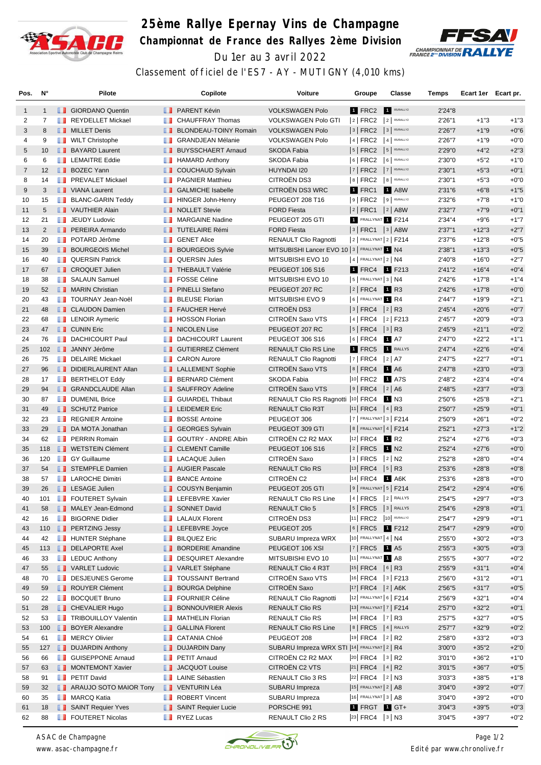

## **25ème Rallye Epernay Vins de Champagne Championnat de France des Rallyes 2ème Division** Du 1er au 3 avril 2022



Classement officiel de l'ES7 - AY - MUTIGNY (4,010 kms)

| Pos.           | N°             | Pilote                        |               | Copilote                        | <b>Voiture</b>                                 | Groupe                       |           | Classe                  | Temps   | Ecart 1er Ecart pr. |        |
|----------------|----------------|-------------------------------|---------------|---------------------------------|------------------------------------------------|------------------------------|-----------|-------------------------|---------|---------------------|--------|
| $\mathbf{1}$   | $\mathbf{1}$   | <b>B</b> GIORDANO Quentin     |               | <b>FRARENT Kévin</b>            | <b>VOLKSWAGEN Polo</b>                         | 1 FRC2                       | $\vert$ 1 | R5/RALLY2               | 2'24"8  |                     |        |
| 2              | $\overline{7}$ | REYDELLET Mickael             | <b>The Co</b> | <b>CHAUFFRAY Thomas</b>         | <b>VOLKSWAGEN Polo GTI</b>                     | $ 2 $ FRC2                   |           | $2$ R5/RALLY2           | 2'26"1  | $+1"3$              | $+1"3$ |
| 3              | 8              | <b>NILLET Denis</b>           | . .           | <b>BLONDEAU-TOINY Romain</b>    | <b>VOLKSWAGEN Polo</b>                         | $3$ FRC2                     |           | 3 R5/RALLY2             | 2'26"7  | $+1"9$              | $+0"6$ |
| 4              | 9              | <b>NILT</b> Christophe        | m             | <b>GRANDJEAN Mélanie</b>        | <b>VOLKSWAGEN Polo</b>                         | 4 FRC2                       |           | 4 R5/RALLY2             | 2'26"7  | $+1"9$              | $+0"0$ |
| 5              | 10             | <b>BAYARD Laurent</b>         | ш             | <b>BUYSSCHAERT Arnaud</b>       | <b>SKODA Fabia</b>                             | $ 5 $ FRC2                   |           | 5 R5/RALLY2             | 2'29"0  | $+4"2$              | $+2"3$ |
| 6              | 6              | <b>T</b> LEMAITRE Eddie       |               | $\blacksquare$ HAMARD Anthony   | SKODA Fabia                                    | $6$ FRC2                     |           | 6 R5/RALLY2             | 2'30"0  | $+5"2$              | $+1"0$ |
| $\overline{7}$ | 12             | <b>BOZEC Yann</b>             | ш             | <b>COUCHAUD Sylvain</b>         | HUYNDAI I20                                    | 7 FRC2                       |           | 7 R5/RALLY2             | 2'30"1  | $+5"3$              | $+0"1$ |
| 8              | 14             | <b>FREVALET Mickael</b>       | ш             | <b>PAGNIER Matthieu</b>         | CITROËN DS3                                    | $8$ FRC2                     |           | $8$ R5/RALLY2           | 2'30"1  | $+5"3$              | $+0"0$ |
| 9              | 3              | <b>NANA</b> Laurent           | <b>II</b>     | <b>GALMICHE Isabelle</b>        | CITROËN DS3 WRC                                | 1 FRC1                       |           | <b>1</b> A8W            | 2'31"6  | $+6"8$              | $+1"5$ |
| 10             | 15             | <b>BLANC-GARIN Teddy</b>      | m             | <b>HINGER John-Henry</b>        | PEUGEOT 208 T16                                | $ 9 $ FRC2                   |           | $9$ R5/RALLY2           | 2'32"6  | $+7"8$              | $+1"0$ |
| 11             | 5              | VAUTHIER Alain                | . .           | <b>NOLLET Stevie</b>            | <b>FORD Fiesta</b>                             | $ 2 $ FRC1 $ 2 $ A8W         |           |                         | 2'32"7  | $+7"9$              | $+0"1$ |
| 12             | 21             | <b>T</b> JEUDY Ludovic        |               | MARGAINE Nadine                 | PEUGEOT 205 GTI                                | 1 FRALLYNAT 1 F214           |           |                         | 2'34"4  | $+9"6$              | $+1"7$ |
| 13             | 2              | <b>FEREIRA Armando</b>        |               | <b>TUTELAIRE Rémi</b>           | <b>FORD Fiesta</b>                             | 3   FRC1   1   A8W           |           |                         | 2'37"1  | $+12"3$             | $+2"7$ |
| 14             | 20             | <b>POTARD Jérôme</b>          |               | <b>B</b> GENET Alice            | RENAULT Clio Ragnotti                          | $2$ FRALLYNAT $2$ F214       |           |                         | 2'37"6  | $+12"8$             | $+0"5$ |
| 15             | 39             | <b>BOURGEOIS Michel</b>       | ш             | <b>BOURGEOIS Sylvie</b>         | MITSUBISHI Lancer EVO 10   3   FRALLYNAT 1 N4  |                              |           |                         | 2'38"1  | $+13"3$             | $+0"5$ |
| 16             | 40             | <b>QUERSIN Patrick</b>        | w             | <b>QUERSIN Jules</b>            | MITSUBISHI EVO 10                              | $ 4 $ FRALLYNAT $ 2 $ N4     |           |                         | 2'40"8  | $+16"0$             | $+2"7$ |
| 17             | 67             | <b>I</b> CROQUET Julien       |               | <b>THEBAULT Valérie</b>         | <b>PEUGEOT 106 S16</b>                         | 1 FRC4 1 F213                |           |                         | 2'41''2 | $+16"4$             | $+0"4$ |
| 18             | 38             | <b>B</b> SALAUN Samuel        | ш             | <b>FOSSE Céline</b>             | MITSUBISHI EVO 10                              | $ 5 $ FRALLYNAT $3 N4$       |           |                         | 2'42"6  | $+17"8$             | $+1"4$ |
| 19             | 52             | <b>NARIN</b> Christian        | <b>H.H.</b>   | <b>PINELLI Stefano</b>          | PEUGEOT 207 RC                                 | $ 2 $ FRC4                   |           | <b>1</b> R3             | 2'42"6  | $+17"8$             | $+0"0$ |
| 20             | 43             | <b>TOURNAY Jean-Noël</b>      |               | <b>BLEUSE Florian</b>           | MITSUBISHI EVO 9                               | 6 FRALLYNAT 1 R4             |           |                         | 2'44"7  | $+19"9$             | $+2"1$ |
| 21             | 48             | <b>I</b> CLAUDON Damien       | . .           | <b>FAUCHER Hervé</b>            | <b>CITROËN DS3</b>                             | $ 3 $ FRC4 $ 2 $ R3          |           |                         | 2'45''4 | $+20"6$             | $+0"7$ |
| 22             | 68             | <b>EXAMPLE LENOIR Aymeric</b> | ш             | <b>HOSSON Florian</b>           | CITROËN Saxo VTS                               | $ 4 $ FRC4                   |           | $ 2 $ F213              | 2'45"7  | $+20"9$             | $+0"3$ |
| 23             | 47             | <b>CUNIN Eric</b>             |               | <b>NICOLEN Lise</b>             | PEUGEOT 207 RC                                 | $5$ FRC4                     |           | $ 3 $ R <sub>3</sub>    | 2'45"9  | $+21"1$             | $+0"2$ |
| 24             | 76             | <b>DACHICOURT Paul</b>        | m             | <b>DACHICOURT Laurent</b>       | <b>PEUGEOT 306 S16</b>                         | 6   FRC4                     |           | 1 A7                    | 2'47"0  | $+22"2$             | $+1"1$ |
| 25             | 102            | <b>JANNY Jérôme</b>           | ш             | <b>GUTIERREZ Clément</b>        | <b>RENAULT Clio RS Line</b>                    | 1 FRC5                       |           | RALLY5                  | 2'47''4 | $+22"6$             | $+0"4$ |
| 26             | 75             | <b>DELAIRE Mickael</b>        |               | <b>CARON Aurore</b>             | <b>RENAULT Clio Ragnotti</b>                   | $ 7 $ FRC4                   |           | 2 A7                    | 2'47"5  | $+22"7$             | $+0"1$ |
| 27             | 96             | DIDIERLAURENT Allan           | <b>ILLE</b>   | <b>LALLEMENT Sophie</b>         | CITROËN Saxo VTS                               | $8$ FRC4                     |           | 1 A <sub>6</sub>        | 2'47"8  | $+23"0$             | $+0"3$ |
| 28             | 17             | <b>BERTHELOT Eddy</b>         | ш             | <b>BERNARD Clément</b>          | <b>SKODA Fabia</b>                             | 10 FRC2 1 A7S                |           |                         | 2'48"2  | $+23"4$             | $+0"4$ |
| 29             | 94             | <b>SRANDCLAUDE Allan</b>      |               | <b>B</b> SAUFFROY Adeline       | CITROËN Saxo VTS                               | $ 9 $ FRC4                   |           | 2 A6                    | 2'48"5  | $+23"7$             | $+0"3$ |
| 30             | 87             | <b>DUMENIL Brice</b>          | m             | <b>GUIARDEL Thibaut</b>         | RENAULT Clio RS Ragnotti  10  FRC4             |                              |           | 1 N3                    | 2'50"6  | $+25"8$             | $+2"1$ |
| 31             | 49             | SCHUTZ Patrice                |               | <b>LEIDEMER Eric</b>            | <b>RENAULT Clio R3T</b>                        | $ 11 $ FRC4 $ 4 $ R3         |           |                         | 2'50"7  | $+25"9$             | $+0"1$ |
| 32             | 23             | <b>REGNIER Antoine</b>        | <b>THE R</b>  | <b>BOSSE Antoine</b>            | PEUGEOT 306                                    | $ 7 $ FRALLYNAT $ 3 $ F214   |           |                         | 2'50"9  | $+26"1$             | $+0"2$ |
| 33             | 29             | DA MOTA Jonathan              |               | <b>SEORGES Sylvain</b>          | PEUGEOT 309 GTI                                | 8   FRALLYNAT 4   F214       |           |                         | 2'52"1  | $+27"3$             | $+1"2$ |
| 34             | 62             | <b>FRAIN Romain</b>           | ш             | <b>GOUTRY - ANDRE Albin</b>     | CITROËN C2 R2 MAX                              | 12 FRC4                      |           | 1 R <sub>2</sub>        | 2'52''4 | $+27"6$             | $+0"3$ |
| 35             | 118            | <b>T</b> WETSTEIN Clément     | ш             | <b>CLEMENT Camille</b>          | PEUGEOT 106 S16                                | 2   FRC5                     |           | <b>1</b> N <sub>2</sub> | 2'52''4 | $+27"6$             | $+0"0$ |
| 36             | 120            | <b>B</b> GY Guillaume         |               | <b>LACAQUE Julien</b>           | CITROËN Saxo                                   | 3   FRC5                     |           | $ 2 $ N <sub>2</sub>    | 2'52"8  | $+28"0$             | $+0"4$ |
| 37             | 54             | STEMPFLE Damien               |               | <b>N</b> AUGIER Pascale         | <b>RENAULT Clio RS</b>                         | $ 13 $ FRC4 $ 5 $ R3         |           |                         | 2'53"6  | $+28"8$             | $+0"8$ |
| 38             | 57             | <b>LAROCHE Dimitri</b>        | ш             | <b>BANCE Antoine</b>            | CITROËN C2                                     | 14 FRC4                      |           | 1 A6K                   | 2'53"6  | $+28"8$             | $+0"0$ |
| 39             | 26             | <b>LESAGE Julien</b>          |               | <b>COUSYN Benjamin</b>          | PEUGEOT 205 GTI                                | $ 9 $ Frallynat $ 5 $ F214   |           |                         | 2'54"2  | $+29"4$             | $+0"6$ |
| 40             | 101            | <b>FOUTERET Sylvain</b>       |               | <b>EXECUTE:</b> LEFEBVRE Xavier | RENAULT Clio RS Line                           | $ 4 $ FRC5                   |           | 2 RALLY5                | 2'54"5  | $+29"7$             | $+0"3$ |
| 41             | 58             | MALEY Jean-Edmond             |               | <b>B</b> SONNET David           | <b>RENAULT Clio 5</b>                          | $ 5 $ FRC5                   |           | $3$ RALLY5              | 2'54"6  | $+29"8$             | $+0"1$ |
| 42             | 16             | <b>BIGORNE Didier</b>         |               | <b>LALAUX Florent</b>           | CITROËN DS3                                    | $ 11 $ FRC2                  |           | 10 R5/RALLY2            | 2'54"7  | $+29"9$             | $+0"1$ |
| 43             | 110            | <b>FERTZING Jessy</b>         |               | <b>LEFEBVRE</b> Joyce           | PEUGEOT 205                                    | $6$ FRC5                     |           | 1 F212                  | 2'54"7  | $+29"9$             | $+0"0$ |
| 44             | 42             | <b>HUNTER Stéphane</b>        | m             | <b>BILQUEZ Eric</b>             | SUBARU Impreza WRX                             | 10 FRALLYNAT 4   N4          |           |                         | 2'55"0  | $+30"2$             | $+0"3$ |
| 45             | 113            | DELAPORTE Axel                | ш             | <b>BORDERIE Amandine</b>        | PEUGEOT 106 XSI                                | $ 7 $ FRC5 $\blacksquare$ A5 |           |                         | 2'55"3  | $+30"5$             | $+0"3$ |
| 46             | 33             | $\blacksquare$ LEDUC Anthony  | <b>The Co</b> | <b>DESQUIRET Alexandre</b>      | MITSUBISHI EVO 10                              | 11 FRALLYNAT 1 A8            |           |                         | 2'55"5  | $+30"7$             | $+0"2$ |
| 47             | 55             | VARLET Ludovic                |               | VARLET Stéphane                 | RENAULT Clio 4 R3T                             | $ 15 $ FRC4 $ 6 $ R3         |           |                         | 2'55"9  | $+31"1$             | $+0"4$ |
| 48             | 70             | DESJEUNES Gerome              | T I           | <b>TOUSSAINT Bertrand</b>       | CITROËN Saxo VTS                               | $ 16 $ FRC4 $ 3 $ F213       |           |                         | 2'56"0  | $+31"2$             | $+0"1$ |
| 49             | 59             | ROUYER Clément                | u             | <b>BOURGA Delphine</b>          | CITROËN Saxo                                   | $ 17 $ FRC4 $ 2 $ A6K        |           |                         | 2'56"5  | $+31"7$             | $+0"5$ |
| 50             | 22             | <b>BOCQUET Bruno</b>          | ш             | <b>FOURNIER Céline</b>          | RENAULT Clio Ragnotti                          | 12 FRALLYNAT 6   F214        |           |                         | 2'56"9  | $+32"1$             | $+0"4$ |
| 51             | 28             | CHEVALIER Hugo                | ш             | <b>BONNOUVRIER Alexis</b>       | RENAULT Clio RS                                | 13 FRALLYNAT 7   F214        |           |                         | 2'57"0  | $+32"2$             | $+0"1$ |
| 52             | 53             | <b>TRIBOUILLOY Valentin</b>   | <b>The Co</b> | <b>MATHELIN Florian</b>         | RENAULT Clio RS                                | 18 FRC4 7 R3                 |           |                         | 2'57"5  | $+32"7$             | $+0"5$ |
| 53             | 100            | <b>BOYER Alexandre</b>        | u.            | <b>GALLINA Florent</b>          | <b>RENAULT Clio RS Line</b>                    | $8$ FRC5                     |           | $ 4 $ RALLY5            | 2'57"7  | $+32"9$             | $+0"2$ |
| 54             | 61             | <b>NERCY Olivier</b>          | <b>THE R</b>  | <b>CATANIA Chloé</b>            | PEUGEOT 208                                    | 19 FRC4                      |           | $ 2 $ R2                | 2'58"0  | $+33"2$             | $+0"3$ |
| 55             | 127            | <b>DUJARDIN Anthony</b>       | w             | <b>DUJARDIN Dany</b>            | SUBARU Impreza WRX STI  14  FRALLYNAT   2   R4 |                              |           |                         | 3'00"0  | $+35"2$             | $+2"0$ |
| 56             | 66             | <b>B</b> GUISEPPONE Arnaud    | m             | PETIT Arnaud                    | CITROËN C2 R2 MAX                              | $ 20 $ FRC4                  |           | $ 3 $ R <sub>2</sub>    | 3'01"0  | $+36"2$             | $+1"0$ |
| 57             | 63             | MONTEMONT Xavier              |               | <b>JACQUOT Louise</b>           | CITROËN C2 VTS                                 | $ 21 $ FRC4 $ 4 $ R2         |           |                         | 3'01''5 | $+36"7$             | $+0"5$ |
| 58             | 91             | <b>PETIT David</b>            |               | <b>LE</b> LAINE Sébastien       | RENAULT Clio 3 RS                              | 22 FRC4 2 N3                 |           |                         | 3'03"3  | $+38"5$             | $+1"8$ |
| 59             | 32             | <b>ARAUJO SOTO MAIOR Tony</b> |               | VENTURIN Léa                    | SUBARU Impreza                                 | $ 15 $ FRALLYNAT $ 2 AB$     |           |                         | 3'04"0  | $+39"2$             | $+0"7$ |
| 60             | 35             | <b>B</b> MARCQ Katia          |               | <b>ROBERT Vincent</b>           | SUBARU Impreza                                 | 16 FRALLYNAT 3   A8          |           |                         | 3'04"0  | $+39"2$             | $+0"0$ |
| 61             | 18             | SAINT Requier Yves            | ш             | <b>SAINT Requier Lucie</b>      | PORSCHE 991                                    | 1 FRGT 1 GT+                 |           |                         | 3'04"3  | $+39"5$             | $+0"3$ |
| 62             | 88             | <b>FOUTERET Nicolas</b>       |               | $\blacksquare$ RYEZ Lucas       | RENAULT Clio 2 RS                              | 23 FRC4 3 N3                 |           |                         | 3'04''5 | $+39"7$             | $+0"2$ |



*ASAC de Champagne www. asac-champagne.fr*